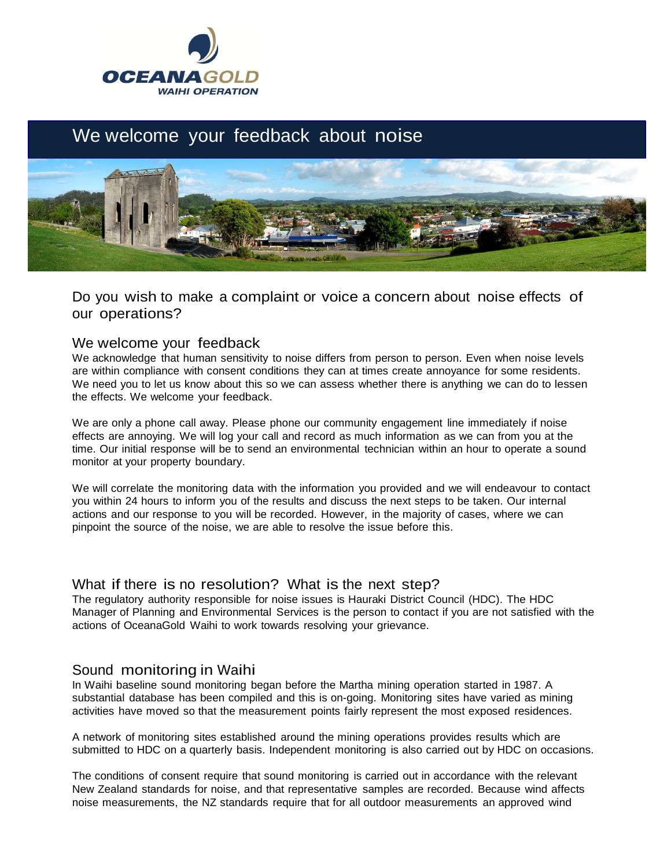

# We welcome your feedback about noise



Do you wish to make a complaint or voice a concern about noise effects of our operations?

#### We welcome your feedback

We acknowledge that human sensitivity to noise differs from person to person. Even when noise levels are within compliance with consent conditions they can at times create annoyance for some residents. We need you to let us know about this so we can assess whether there is anything we can do to lessen the effects. We welcome your feedback.

We are only a phone call away. Please phone our community engagement line immediately if noise effects are annoying. We will log your call and record as much information as we can from you at the time. Our initial response will be to send an environmental technician within an hour to operate a sound monitor at your property boundary.

We will correlate the monitoring data with the information you provided and we will endeavour to contact you within 24 hours to inform you of the results and discuss the next steps to be taken. Our internal actions and our response to you will be recorded. However, in the majority of cases, where we can pinpoint the source of the noise, we are able to resolve the issue before this.

#### What if there is no resolution? What is the next step?

The regulatory authority responsible for noise issues is Hauraki District Council (HDC). The HDC Manager of Planning and Environmental Services is the person to contact if you are not satisfied with the actions of OceanaGold Waihi to work towards resolving your grievance.

## Sound monitoring in Waihi

In Waihi baseline sound monitoring began before the Martha mining operation started in 1987. A substantial database has been compiled and this is on-going. Monitoring sites have varied as mining activities have moved so that the measurement points fairly represent the most exposed residences.

A network of monitoring sites established around the mining operations provides results which are submitted to HDC on a quarterly basis. Independent monitoring is also carried out by HDC on occasions.

The conditions of consent require that sound monitoring is carried out in accordance with the relevant New Zealand standards for noise, and that representative samples are recorded. Because wind affects noise measurements, the NZ standards require that for all outdoor measurements an approved wind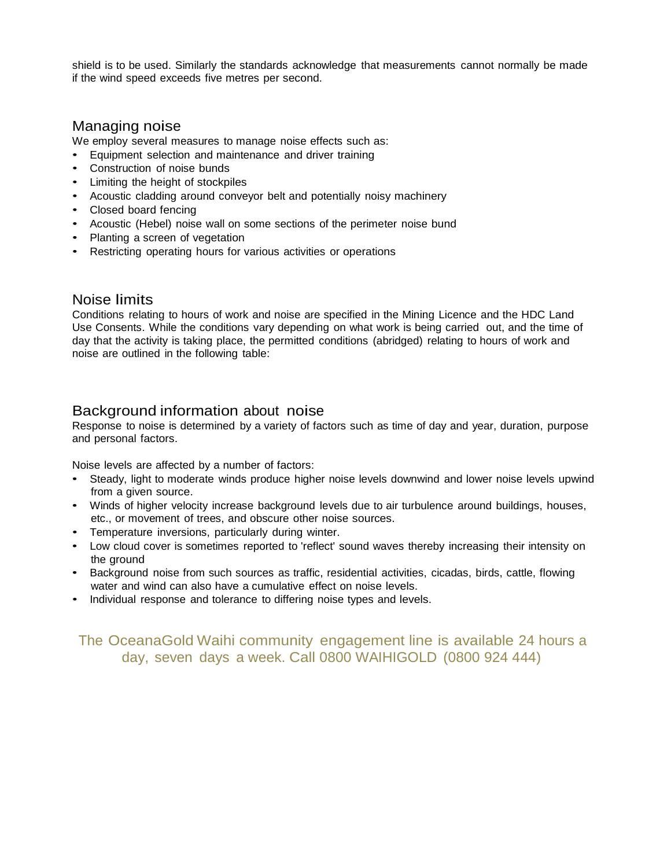shield is to be used. Similarly the standards acknowledge that measurements cannot normally be made if the wind speed exceeds five metres per second.

### Managing noise

We employ several measures to manage noise effects such as:

- Equipment selection and maintenance and driver training
- Construction of noise bunds
- Limiting the height of stockpiles
- Acoustic cladding around conveyor belt and potentially noisy machinery
- Closed board fencing
- Acoustic (Hebel) noise wall on some sections of the perimeter noise bund
- Planting a screen of vegetation
- Restricting operating hours for various activities or operations

#### Noise limits

Conditions relating to hours of work and noise are specified in the Mining Licence and the HDC Land Use Consents. While the conditions vary depending on what work is being carried out, and the time of day that the activity is taking place, the permitted conditions (abridged) relating to hours of work and noise are outlined in the following table:

# Background information about noise

Response to noise is determined by a variety of factors such as time of day and year, duration, purpose and personal factors.

Noise levels are affected by a number of factors:

- Steady, light to moderate winds produce higher noise levels downwind and lower noise levels upwind from a given source.
- Winds of higher velocity increase background levels due to air turbulence around buildings, houses, etc., or movement of trees, and obscure other noise sources.
- Temperature inversions, particularly during winter.
- Low cloud cover is sometimes reported to 'reflect' sound waves thereby increasing their intensity on the ground
- Background noise from such sources as traffic, residential activities, cicadas, birds, cattle, flowing water and wind can also have a cumulative effect on noise levels.
- Individual response and tolerance to differing noise types and levels.

# The OceanaGold Waihi community engagement line is available 24 hours a day, seven days a week. Call 0800 WAIHIGOLD (0800 924 444)